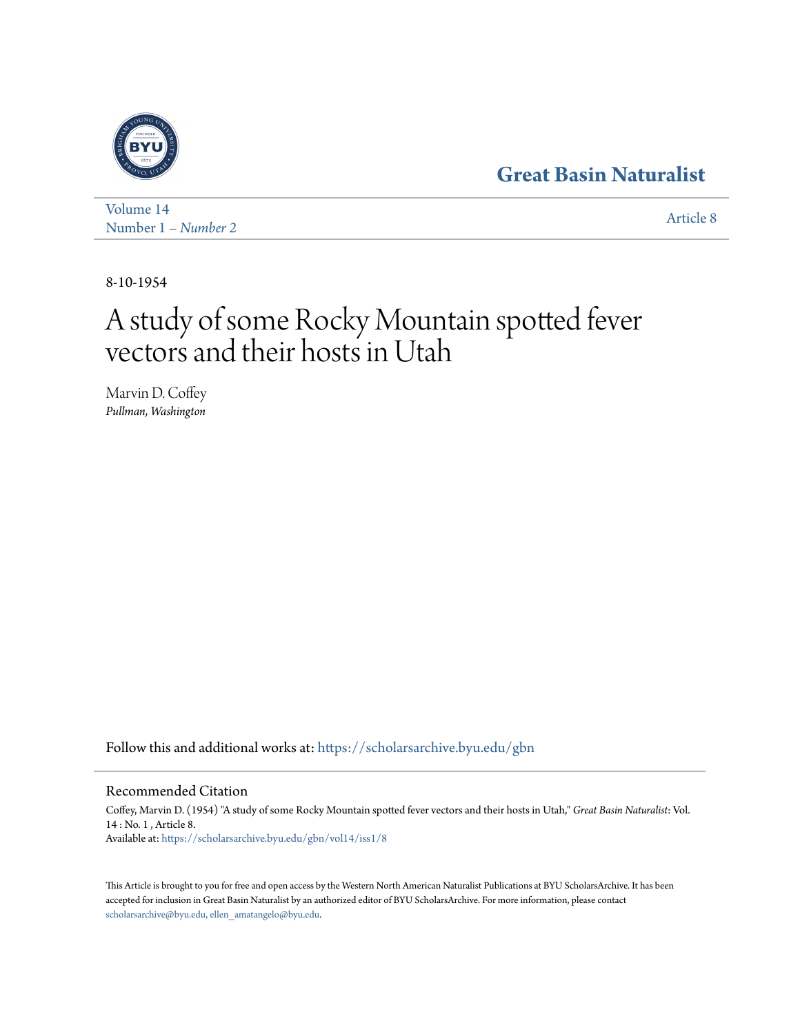# **[Great Basin Naturalist](https://scholarsarchive.byu.edu/gbn?utm_source=scholarsarchive.byu.edu%2Fgbn%2Fvol14%2Fiss1%2F8&utm_medium=PDF&utm_campaign=PDFCoverPages)**



[Volume 14](https://scholarsarchive.byu.edu/gbn/vol14?utm_source=scholarsarchive.byu.edu%2Fgbn%2Fvol14%2Fiss1%2F8&utm_medium=PDF&utm_campaign=PDFCoverPages) Number 1 *[– Number 2](https://scholarsarchive.byu.edu/gbn/vol14/iss1?utm_source=scholarsarchive.byu.edu%2Fgbn%2Fvol14%2Fiss1%2F8&utm_medium=PDF&utm_campaign=PDFCoverPages)* [Article 8](https://scholarsarchive.byu.edu/gbn/vol14/iss1/8?utm_source=scholarsarchive.byu.edu%2Fgbn%2Fvol14%2Fiss1%2F8&utm_medium=PDF&utm_campaign=PDFCoverPages)

8-10-1954

# A study of some Rocky Mountain spotted fever vectors and their hosts in Utah

Marvin D. Coffey *Pullman, Washington*

Follow this and additional works at: [https://scholarsarchive.byu.edu/gbn](https://scholarsarchive.byu.edu/gbn?utm_source=scholarsarchive.byu.edu%2Fgbn%2Fvol14%2Fiss1%2F8&utm_medium=PDF&utm_campaign=PDFCoverPages)

# Recommended Citation

Coffey, Marvin D. (1954) "A study of some Rocky Mountain spotted fever vectors and their hosts in Utah," *Great Basin Naturalist*: Vol. 14 : No. 1 , Article 8. Available at: [https://scholarsarchive.byu.edu/gbn/vol14/iss1/8](https://scholarsarchive.byu.edu/gbn/vol14/iss1/8?utm_source=scholarsarchive.byu.edu%2Fgbn%2Fvol14%2Fiss1%2F8&utm_medium=PDF&utm_campaign=PDFCoverPages)

This Article is brought to you for free and open access by the Western North American Naturalist Publications at BYU ScholarsArchive. It has been accepted for inclusion in Great Basin Naturalist by an authorized editor of BYU ScholarsArchive. For more information, please contact [scholarsarchive@byu.edu, ellen\\_amatangelo@byu.edu.](mailto:scholarsarchive@byu.edu,%20ellen_amatangelo@byu.edu)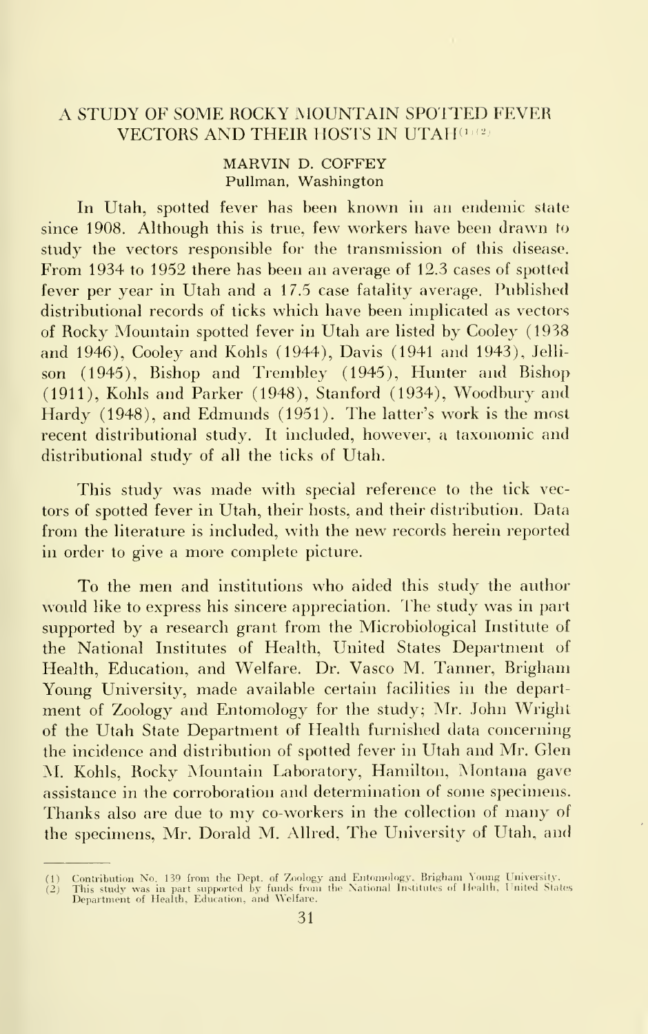# A STUDY OF SOME ROCKY MOUNTAIN SPOTTED FEVER VECTORS AND THEIR HOSTS IN UTAH<sup>(1)(2)</sup>

#### MARVIN D. COFFEY Pullman, Washington

In Utah, spotted fever has been known in an endemic state since 1908. Although this is true, few workers have been drawn to study the vectors responsible for the transmission of this disease. From 1934 to 1952 there has been an average of 12.3 cases of spotted fever per year in Utah and a 17.5 case fatality average. Published distributional records of ticks which have been implicated as vectors of Rocky Mountain spotted fever in Utah are listed by Cooley (1938 and 1946), Cooley and Kohls (1944), Davis (1941 and 1943), Jelli son (1945), Bishop and Trembley (1945), Hunter and Bishop (1911), Kohls and Parker (1948), Stanford (1934), Woodbury and Hardy (1948), and Edmunds (1951). The latter's work is the most recent distributional study. It included, however, a taxonomic and distributional study of all the ticks of Utah.

This study was made with special reference to the tick vectors of spotted fever in Utah, their hosts, and their distribution. Data from the literature is included, with the new records herein reported in order to give a more complete picture.

To the men and institutions who aided this study the author would like to express his sincere appreciation. The study was in part supported by a research grant from the Microbiological Institute of the National Institutes of Health, United States Department of Health, Education, and Welfare. Dr. Vasco M. Tanner, Brigham Young University, made available certain facilities in the department of Zoology and Entomology for the study; Mr. John Wright of the Utah State Department of Health furnished data concerning the incidence and distribution of spotted fever in Utah and Mr. Glen M. Kohls, Rocky Mountain Laboratory, Hamilton, Montana gave assistance in the corroboration and determination of some specimens. Thanks also are due to my co-workers in the collection of many of the specimens, Mr. Dorald M. Allred, The University of Utah, and

<sup>(1)</sup> Contribution No. 139 from the Dept. of Zoology and Entomology, Brigham Young University.<br>(2) This study was in part supported by funds from the National Institutes of Health, United States<br>Department of Health, Educati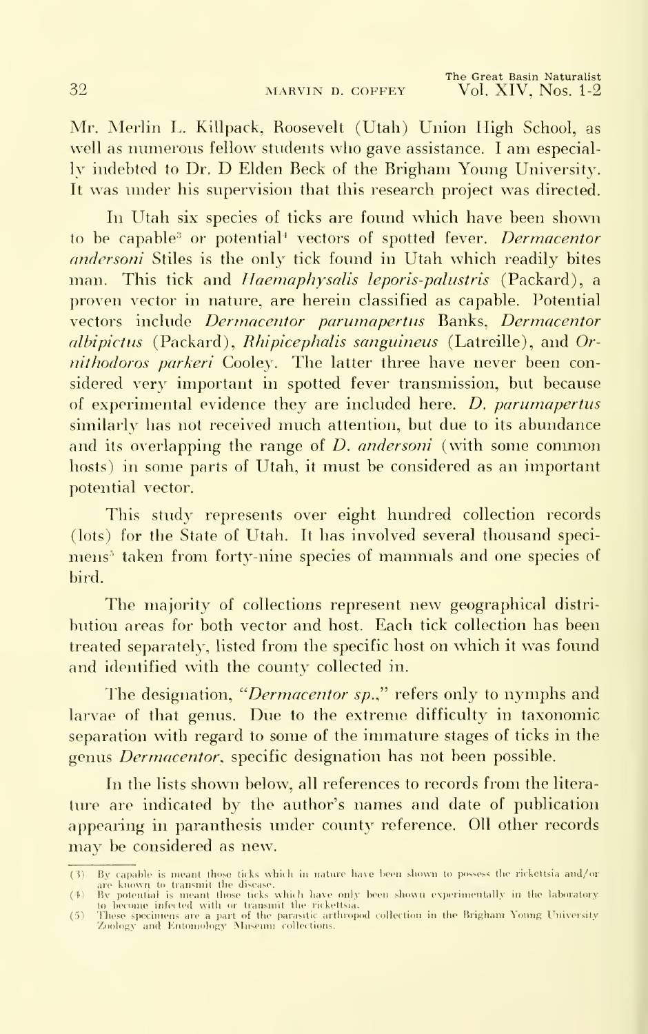Mr. Merlin L. Killpack, Roosevelt (Utah) Union High School, as well as numerous fellow students who gave assistance. I am especially indebted to Dr. D Elden Beck of the Brigham Young University. It was under his supervision that this research project was directed.

In Utah six species of ticks are found which have been shown to be capable<sup>3</sup> or potential<sup>4</sup> vectors of spotted fever. *Dermacentor* andersoni Stiles is the only tick found in Utah which readily bites man. This tick and *Haemaphysalis leporis-palustris* (Packard), a proven vector in nature, are herein classified as capable. Potential vectors include Dermacentor parumapertus Banks, Dermacentor albipictus (Packard), Rhipicephalis sanguineus (Latreille), and Ornithodoros parkeri Cooley. The latter three have never been considered very important in spotted fever transmission, but because of experimental evidence they are included here. D. parumapertus similarly has not received much attention, but due to its abundance and its overlapping the range of *D. andersoni* (with some common hosts) in some parts of Utah, it must be considered as an important potential vector.

This study represents over eight hundred collection records (lots) for the State of Utah. It has involved several thousand specimens' taken from forty-nine species of mammals and one species of bird.

The majority of collections represent new geographical distri bution areas for both vector and host. Each tick collection has been treated separately, listed from the specific host on which it was found and identified with the county collected in.

The designation, "Dermacentor sp.," refers only to nymphs and larvae of that genus. Due to the extreme difficulty in taxonomic separation with regard to some of the immature stages of ticks in the genus *Dermacentor*, specific designation has not been possible.

In the lists shown below, all references to records from the litera ture are indicated by the author's names and date of publication appearing in paranthesis under county reference. Oil other records may be considered as new.

<sup>(3)</sup> By capable is meant those ticks which in nature have been shown to possess the rickettsia and/or<br>are known to transmit the divease.<br>(4) By potential is meant those ticks which have only been shown experimentally in the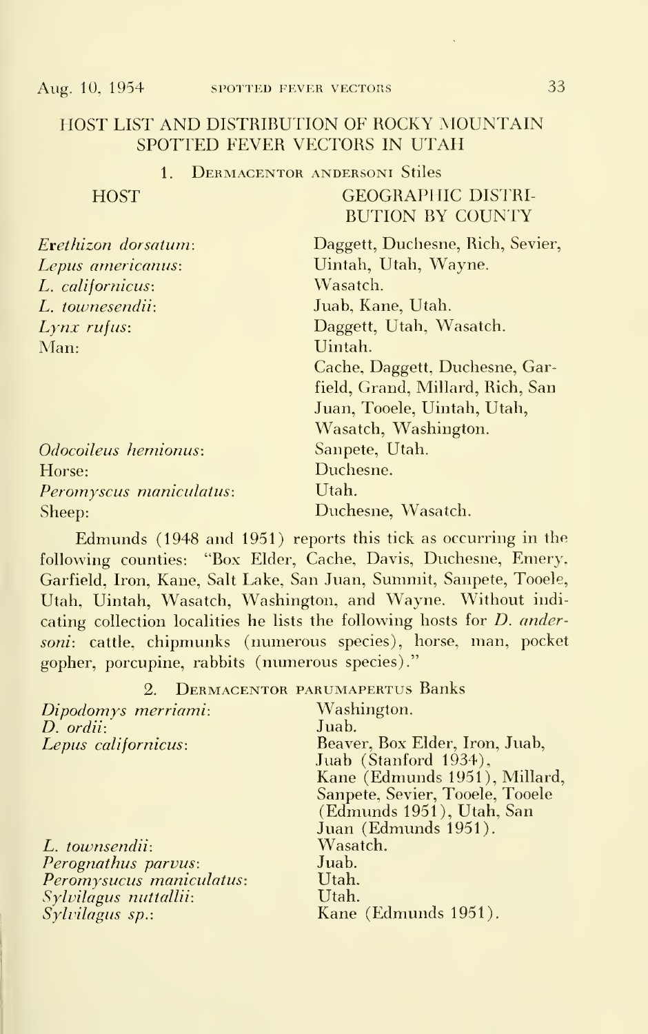# HOST LIST AND DISTRIBUTION OF ROCKY MOUNTAIN SPOTTED FEVER VECTORS IN UTAH

#### 1. Dermacentor andersoni Stiles

GEOGRAPHIC DISTRI-BUTION BY COUNTY

| Erethizon dorsatum: |  |
|---------------------|--|
| Lepus americanus:   |  |
| L. californicus:    |  |
| L. townesendii:     |  |
| $Lynx$ rufus:       |  |
| Man:                |  |
|                     |  |

Daggett, Duchesne, Rich, Sevier, Uintah, Utah, Wayne. Wasatch. Juab, Kane, Utah. Daggett, Utah, Wasatch. Uintah. Cache, Daggett, Duchesne, Garfield, Grand, Millard, Rich, San Juan, Tooele, Uintah, Utah, Wasatch, Washington.

Odocoileus hemionus: Sanpete, Utah. Horse: Duchesne. Peromyscus maniculatus: Utah. Sheep: Duchesne, Wasatch.

Edmunds (1948 and 1951) reports this tick as occurring in the following counties: "Box Elder, Cache, Davis, Duchesne, Emery, Garfield, Iron, Kane, Salt Lake, San Juan, Summit, Sanpete, Tooele, Utah, Uintah, Wasatch, Washington, and Wayne. Without indicating collection localities he lists the following hosts for D. andersoni: cattle, chipmunks (numerous species), horse, man, pocket gopher, porcupine, rabbits (numerous species)."

2. Dermacentor parumapertus Banks

| Dipodomys merriami:<br>$D.$ ordii:<br>Lepus californicus: | Washington.<br>Juab.<br>Beaver, Box Elder, Iron, Juab,<br>Juab (Stanford 1934),                                       |
|-----------------------------------------------------------|-----------------------------------------------------------------------------------------------------------------------|
|                                                           | Kane (Edmunds 1951), Millard,<br>Sanpete, Sevier, Tooele, Tooele<br>(Edmunds 1951), Utah, San<br>Juan (Edmunds 1951). |
| L. townsendii:                                            | Wasatch.                                                                                                              |
| Perognathus parvus:                                       | Juab.                                                                                                                 |
| Peromysucus maniculatus:                                  | Utah.                                                                                                                 |
| Sylvilagus nuttallii:                                     | Utah.                                                                                                                 |
| Sylvilagus sp.:                                           | Kane (Edmunds 1951).                                                                                                  |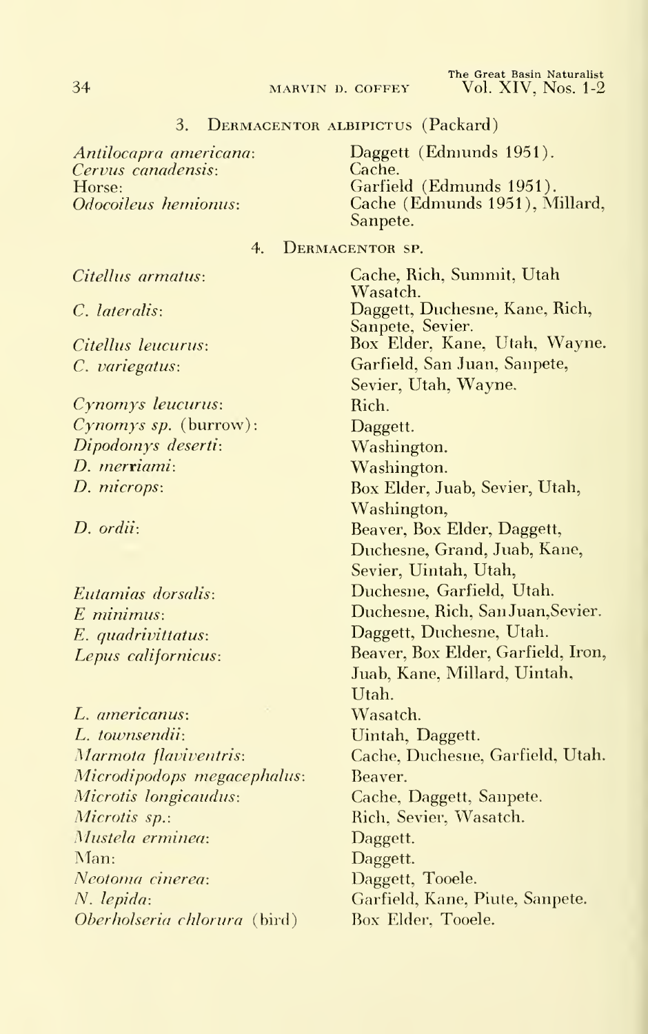#### 3. Dermacentor albipictus (Packard)

Antilocapra americana: Cervus canadensis: Horse: Odocoileus hemionus:

Daggett (Edmunds 1951).<br>Cache. Garfield (Edmunds 1951). Cache (Edmunds 1951), Millard, Sanpete.

#### 4. Dermacentor sp.

Citellus armatus:

C. lateralis:

Citellus leucurus: C. variegatus:

Cynomys leucurus:  $Cynomys sp.$  (burrow): Dipodomys deserti: D. merriami: D. microps:

D. ordii:

Eutamias dorsalis: E minimus: E. quadrivittatus: Lepus californicus:

L. americanus: L. townsendii: Marmota flaviventris: Microdipodops megacephalus: Microtis longicaudus: Microtis sp.: Mustela erminea: Man: Neotoma cinerea: N. lepida: Oberholseria chlorura (bird)

Cache, Rich, Summit, Utah Wasatch. Daggett, Duchesne, Kane, Rich, Sanpete, Sevier. Box Elder, Kane, Utah, Wayne. Garfield, San Juan, Sanpete, Sevier, Utah, Wayne. Rich. Daggett. Washington. Washington. Box Elder, Juab, Sevier, Utah, Washington, Beaver, Box Elder, Daggett, Duchesne, Grand, Juab, Kane, Sevier, Uintah, Utah, Duchesne, Garfield, Utah. Duchesne, Rich, SanJuan,Sevier. Daggett, Duchesne, Utah. Beaver, Box Elder, Garfield, Iron, Juab, Kane, Millard, Uintah, Utah. Wasatch. Uintah, Daggett. Cache, Duchesne, Garfield, Utah. Beaver. Cache, Daggett, Sanpete. Rich, Sevier, Wasatch. Daggett. Daggett. Daggett, Tooele. Garfield, Kane, Piute, Sanpete. Box Elder, Tooele.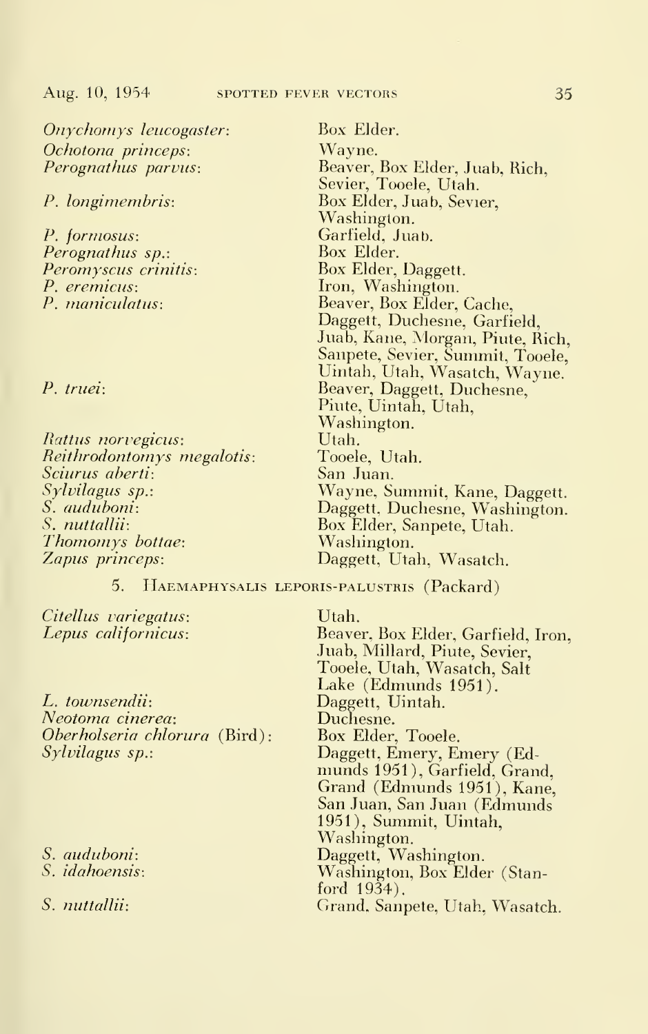Onychomys leucogaster: Ochotona princeps: Perognathus parvus:

P. longimembris:

P. formosus: Perognathus sp.: Peromyscus crinitis: P. eremicus: P. maniculatus:

P. truei:

Rattus norvegicus: Reithrodontomys megalotis: Sciurus aberti: Sylvilagus sp.: S. auduboni: S. nuttaUii: Thomomys bottae: Zapus princeps:

5. Haemaphysalis leporis-palustris (Packard)

Citellus variegatus: Lepus californicus:

L. townsendii: Neotoma cinerea: Oberholseria chlorura (Bird): Sylvilagus sp.:

S. auduboni:

S. idahoensis:

S. nuttallii:

Box Elder. Wayne.

Beaver, Box Elder, Juab, Rich, Sevier, Tooele, Utah. Box Elder, Juab, Sevier, Washington. Garfield, Juab. Box Elder. Box Elder, Daggett. Iron, Washington. Beaver, Box Elder, Cache, Daggett, Duchesne, Garfield, Juab, Kane, Morgan, Piute, Rich, Sanpete, Sevier, Summit, Tooele, Uintah, Utah, Wasatch, Wayne. Beaver, Daggett, Duchesne, Piute, Uintah, Utah, Washington. Utah. Tooele, Utah. San Juan. Wayne, Summit, Kane, Daggett. Daggett, Duchesne, Washington. Box Elder, Sanpete, Utah. Washington. Daggett, Utah, Wasatch.

Utah. Beaver, Box Elder, Garfield, Iron, Juab, Millard, Piute, Sevier, Tooele, Utah, Wasatch, Salt Lake (Edmunds 1951). Daggett, Uintah. Duchesne. Box Elder, Tooele. Daggett, Emery, Emery (Edmunds 1951), Garfield, Grand, Grand (Edmunds 1951), Kane, San Juan, San Juan (Edmunds 1951), Summit, Uintah, Washington. Daggett, Washington. Washington, Box Elder (Stanford 1934). Grand, Sanpete, Utah, Wasatch.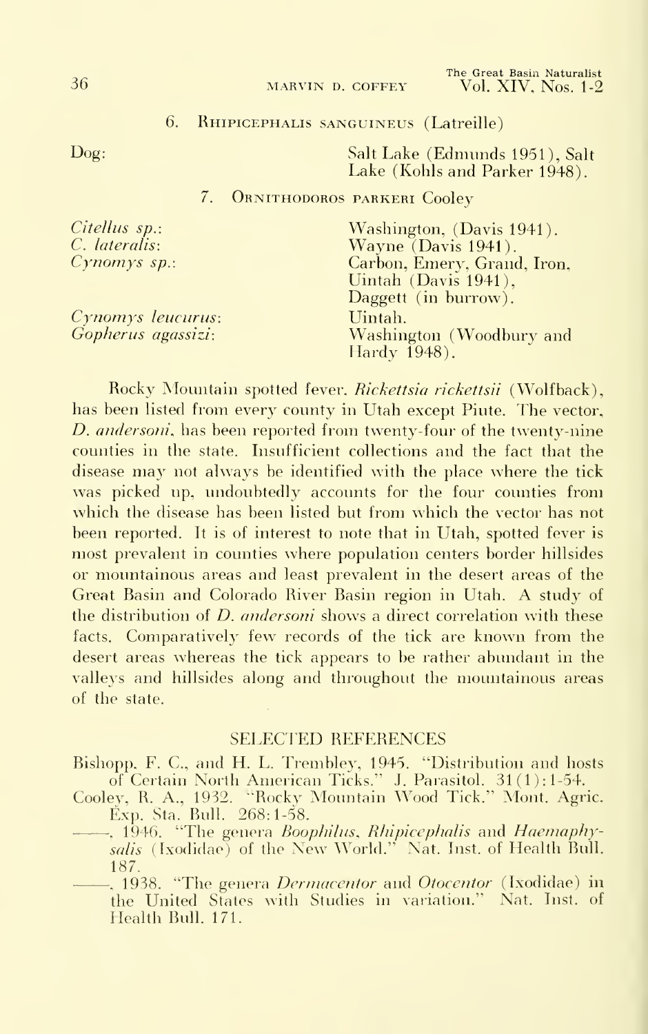#### 6. Rhipicephalis sanguineus (Latreille)

Dog: Salt Lake (Edmunds 1951), Salt Lake (Kohls and Parker 1948).

# 7. Ornithodoros parkeri Cooley

| Citellus sp.:      | Washington, (Davis 1941).   |
|--------------------|-----------------------------|
| C. lateralis:      | Wayne $(Davis 1941)$ .      |
| $Cynomys sp.$ :    | Carbon, Emery, Grand, Iron, |
|                    | Uintah (Davis 1941),        |
|                    | Daggett (in burrow).        |
| Cynomys leucurus:  | Uintah.                     |
| Gopherus agassizi: | Washington (Woodbury and    |
|                    | Hardy 1948).                |
|                    |                             |

Rocky Mountain spotted fever, Rickettsia rickettsii (Wolfback), has been listed from every county in Utah except Piute. The vector, D. andersoni, has been reported from twenty-four of the twenty-nine counties in the state. Insufficient collections and the fact that the disease may not always be identified with the place where the tick was picked up, undoubtedly accounts for the four counties from which the disease has been listed but from which the vector has not been reported. It is of interest to note that in Utah, spotted fever is most prevalent in counties where population centers border hillsides or mountainous areas and least prevalent in the desert areas of the Great Basin and Colorado River Basin region in Utah. A study of the distribution of *D. andersoni* shows a direct correlation with these facts. Comparatively few records of the tick are known from the desert areas whereas the tick appears to be rather abundant in the valleys and hillsides along and throughout the mountainous areas of the state.

### SELECTED REFERENCES

Bishopp, F. C, and H. L. Trembley, 1945. "Distribution and hosts of Certain North American Ticks." J. Parasitol. 31(1): 1-54.

Cooley, R. A., 1932. "Rocky Mountain Wood Tick." Mont. Agric. Exp. Sta. Bull. 268:1-58.

- -, 1946. "The genera Boophilus, Rhipicephalis and Haemaphysalis (Ixodidae) of the New World." Nat. Inst. of Health Bull. 187.
- -, 1938. "The genera *Dermacentor* and *Otocentor* (Ixodidae) in the United States with Studies in variation." Nat. Inst, of Health Bull. 171.